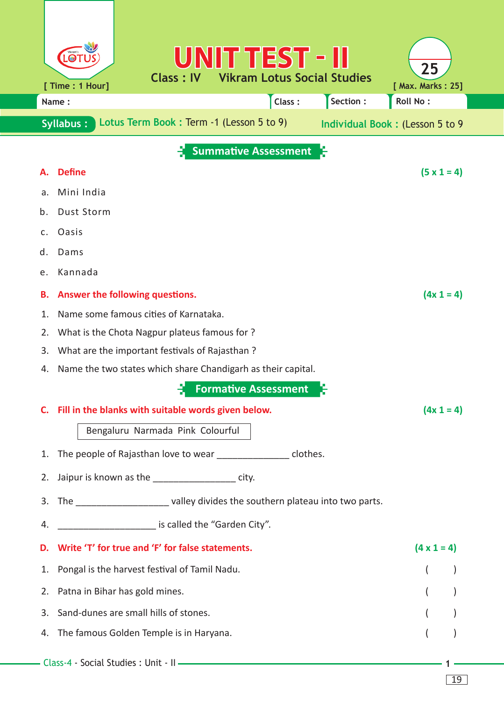|                                         | UNIT TEST - II<br>$\bigcirc$<br><b>Vikram Lotus Social Studies</b><br>Class: IV<br>[ Time : 1 Hour] | 25<br>[ Max. Marks: 25]         |  |  |  |  |  |  |  |  |  |  |
|-----------------------------------------|-----------------------------------------------------------------------------------------------------|---------------------------------|--|--|--|--|--|--|--|--|--|--|
| Section:<br>Roll No:<br>Class:<br>Name: |                                                                                                     |                                 |  |  |  |  |  |  |  |  |  |  |
|                                         | Lotus Term Book: Term -1 (Lesson 5 to 9)<br><b>Syllabus:</b>                                        | Individual Book: (Lesson 5 to 9 |  |  |  |  |  |  |  |  |  |  |
|                                         | <b>Summative Assessment</b>                                                                         |                                 |  |  |  |  |  |  |  |  |  |  |
|                                         | <b>Define</b>                                                                                       | $(5 \times 1 = 4)$              |  |  |  |  |  |  |  |  |  |  |
| a.                                      | Mini India                                                                                          |                                 |  |  |  |  |  |  |  |  |  |  |
| b.                                      | Dust Storm                                                                                          |                                 |  |  |  |  |  |  |  |  |  |  |
| C.                                      | Oasis                                                                                               |                                 |  |  |  |  |  |  |  |  |  |  |
| d.                                      | Dams                                                                                                |                                 |  |  |  |  |  |  |  |  |  |  |
| е.                                      | Kannada                                                                                             |                                 |  |  |  |  |  |  |  |  |  |  |
| В.                                      | Answer the following questions.                                                                     | $(4x 1 = 4)$                    |  |  |  |  |  |  |  |  |  |  |
| 1.                                      | Name some famous cities of Karnataka.                                                               |                                 |  |  |  |  |  |  |  |  |  |  |
| 2.                                      | What is the Chota Nagpur plateus famous for?                                                        |                                 |  |  |  |  |  |  |  |  |  |  |
| 3.                                      | What are the important festivals of Rajasthan?                                                      |                                 |  |  |  |  |  |  |  |  |  |  |
| 4.                                      | Name the two states which share Chandigarh as their capital.                                        |                                 |  |  |  |  |  |  |  |  |  |  |
|                                         | <b>Formative Assessment</b>                                                                         |                                 |  |  |  |  |  |  |  |  |  |  |
|                                         | C. Fill in the blanks with suitable words given below.                                              | $(4x 1 = 4)$                    |  |  |  |  |  |  |  |  |  |  |
|                                         | Bengaluru Narmada Pink Colourful                                                                    |                                 |  |  |  |  |  |  |  |  |  |  |
| 1.                                      | The people of Rajasthan love to wear __________________ clothes.                                    |                                 |  |  |  |  |  |  |  |  |  |  |
|                                         | 2. Jaipur is known as the ______________________ city.                                              |                                 |  |  |  |  |  |  |  |  |  |  |
|                                         | 3. The ______________________ valley divides the southern plateau into two parts.                   |                                 |  |  |  |  |  |  |  |  |  |  |
| 4.                                      | is called the "Garden City".                                                                        |                                 |  |  |  |  |  |  |  |  |  |  |
| D.                                      | Write 'T' for true and 'F' for false statements.                                                    | $(4 \times 1 = 4)$              |  |  |  |  |  |  |  |  |  |  |
| 1.                                      | Pongal is the harvest festival of Tamil Nadu.                                                       |                                 |  |  |  |  |  |  |  |  |  |  |
| 2.                                      | Patna in Bihar has gold mines.                                                                      | $\overline{ }$                  |  |  |  |  |  |  |  |  |  |  |
| 3.                                      | Sand-dunes are small hills of stones.                                                               |                                 |  |  |  |  |  |  |  |  |  |  |
| 4.                                      | The famous Golden Temple is in Haryana.                                                             |                                 |  |  |  |  |  |  |  |  |  |  |
|                                         |                                                                                                     |                                 |  |  |  |  |  |  |  |  |  |  |